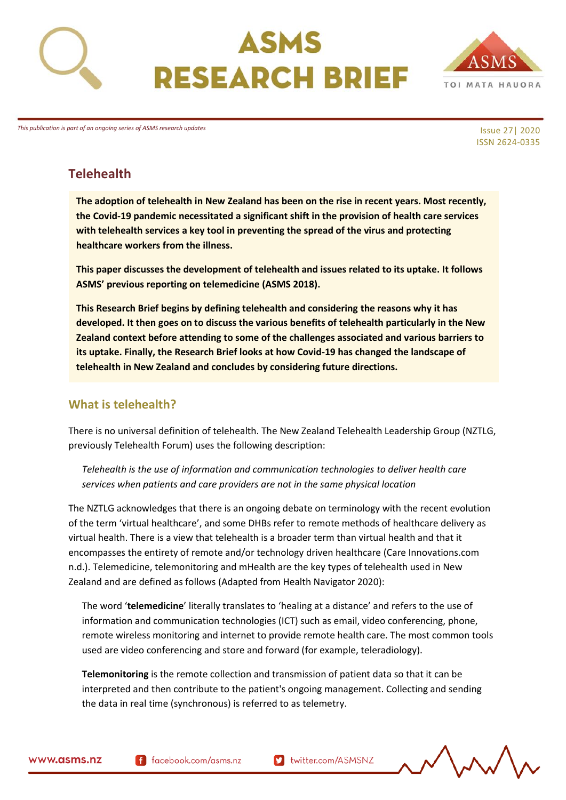





*This publication is part of an ongoing series of ASMS research updates*

Issue 27| 2020 ISSN 2624-0335

# **Telehealth**

**The adoption of telehealth in New Zealand has been on the rise in recent years. Most recently, the Covid-19 pandemic necessitated a significant shift in the provision of health care services with telehealth services a key tool in preventing the spread of the virus and protecting healthcare workers from the illness.**

**This paper discusses the development of telehealth and issues related to its uptake. It follows ASMS' previous reporting on telemedicine (ASMS 2018).** 

**This Research Brief begins by defining telehealth and considering the reasons why it has developed. It then goes on to discuss the various benefits of telehealth particularly in the New Zealand context before attending to some of the challenges associated and various barriers to its uptake. Finally, the Research Brief looks at how Covid-19 has changed the landscape of telehealth in New Zealand and concludes by considering future directions.** 

## **What is telehealth?**

There is no universal definition of telehealth. The New Zealand Telehealth Leadership Group (NZTLG, previously Telehealth Forum) uses the following description:

*Telehealth is the use of information and communication technologies to deliver health care services when patients and care providers are not in the same physical location*

The NZTLG acknowledges that there is an ongoing debate on terminology with the recent evolution of the term 'virtual healthcare', and some DHBs refer to remote methods of healthcare delivery as virtual health. There is a view that telehealth is a broader term than virtual health and that it encompasses the entirety of remote and/or technology driven healthcare (Care Innovations.com n.d.). Telemedicine, telemonitoring and mHealth are the key types of telehealth used in New Zealand and are defined as follows (Adapted from Health Navigator 2020):

The word '**telemedicine**' literally translates to 'healing at a distance' and refers to the use of information and communication technologies (ICT) such as email, video conferencing, phone, remote wireless monitoring and internet to provide remote health care. The most common tools used are video conferencing and store and forward (for example, teleradiology).

**Telemonitoring** is the remote collection and transmission of patient data so that it can be interpreted and then contribute to the patient's ongoing management. Collecting and sending the data in real time (synchronous) is referred to as telemetry.



f facebook.com/asms.nz

**D** twitter.com/ASMSNZ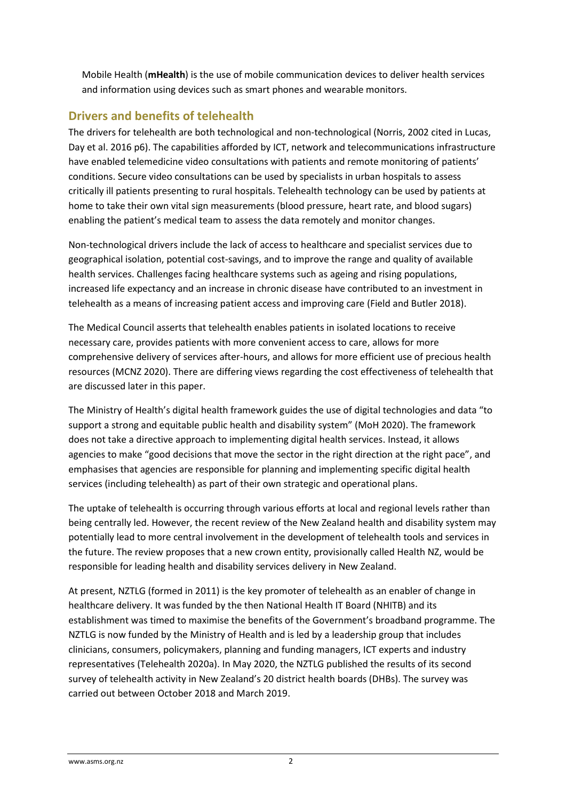Mobile Health (**mHealth**) is the use of mobile communication devices to deliver health services and information using devices such as smart phones and wearable monitors.

## **Drivers and benefits of telehealth**

The drivers for telehealth are both technological and non-technological (Norris, 2002 cited in Lucas, Day et al. 2016 p6). The capabilities afforded by ICT, network and telecommunications infrastructure have enabled telemedicine video consultations with patients and remote monitoring of patients' conditions. Secure video consultations can be used by specialists in urban hospitals to assess critically ill patients presenting to rural hospitals. Telehealth technology can be used by patients at home to take their own vital sign measurements (blood pressure, heart rate, and blood sugars) enabling the patient's medical team to assess the data remotely and monitor changes.

Non-technological drivers include the lack of access to healthcare and specialist services due to geographical isolation, potential cost-savings, and to improve the range and quality of available health services. Challenges facing healthcare systems such as ageing and rising populations, increased life expectancy and an increase in chronic disease have contributed to an investment in telehealth as a means of increasing patient access and improving care (Field and Butler 2018).

The Medical Council asserts that telehealth enables patients in isolated locations to receive necessary care, provides patients with more convenient access to care, allows for more comprehensive delivery of services after-hours, and allows for more efficient use of precious health resources (MCNZ 2020). There are differing views regarding the cost effectiveness of telehealth that are discussed later in this paper.

The Ministry of Health's digital health framework guides the use of digital technologies and data "to support a strong and equitable public health and disability system" (MoH 2020). The framework does not take a directive approach to implementing digital health services. Instead, it allows agencies to make "good decisions that move the sector in the right direction at the right pace", and emphasises that agencies are responsible for planning and implementing specific digital health services (including telehealth) as part of their own strategic and operational plans.

The uptake of telehealth is occurring through various efforts at local and regional levels rather than being centrally led. However, the recent review of the New Zealand health and disability system may potentially lead to more central involvement in the development of telehealth tools and services in the future. The review proposes that a new crown entity, provisionally called Health NZ, would be responsible for leading health and disability services delivery in New Zealand.

At present, NZTLG (formed in 2011) is the key promoter of telehealth as an enabler of change in healthcare delivery. It was funded by the then National Health IT Board (NHITB) and its establishment was timed to maximise the benefits of the Government's broadband programme. The NZTLG is now funded by the Ministry of Health and is led by a leadership group that includes clinicians, consumers, policymakers, planning and funding managers, ICT experts and industry representatives (Telehealth 2020a). In May 2020, the NZTLG published the results of its second survey of telehealth activity in New Zealand's 20 district health boards (DHBs). The survey was carried out between October 2018 and March 2019.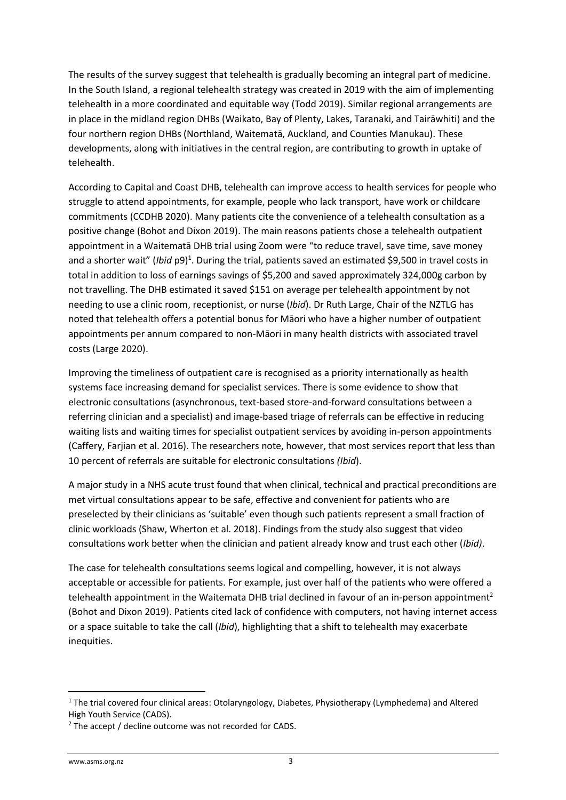The results of the survey suggest that telehealth is gradually becoming an integral part of medicine. In the South Island, a regional telehealth strategy was created in 2019 with the aim of implementing telehealth in a more coordinated and equitable way (Todd 2019). Similar regional arrangements are in place in the midland region DHBs (Waikato, Bay of Plenty, Lakes, Taranaki, and Tairāwhiti) and the four northern region DHBs (Northland, Waitematā, Auckland, and Counties Manukau). These developments, along with initiatives in the central region, are contributing to growth in uptake of telehealth.

According to Capital and Coast DHB, telehealth can improve access to health services for people who struggle to attend appointments, for example, people who lack transport, have work or childcare commitments (CCDHB 2020). Many patients cite the convenience of a telehealth consultation as a positive change (Bohot and Dixon 2019). The main reasons patients chose a telehealth outpatient appointment in a Waitematā DHB trial using Zoom were "to reduce travel, save time, save money and a shorter wait" (*Ibid* p9)<sup>1</sup>. During the trial, patients saved an estimated \$9,500 in travel costs in total in addition to loss of earnings savings of \$5,200 and saved approximately 324,000g carbon by not travelling. The DHB estimated it saved \$151 on average per telehealth appointment by not needing to use a clinic room, receptionist, or nurse (*Ibid*). Dr Ruth Large, Chair of the NZTLG has noted that telehealth offers a potential bonus for Māori who have a higher number of outpatient appointments per annum compared to non-Māori in many health districts with associated travel costs (Large 2020).

Improving the timeliness of outpatient care is recognised as a priority internationally as health systems face increasing demand for specialist services. There is some evidence to show that electronic consultations (asynchronous, text-based store-and-forward consultations between a referring clinician and a specialist) and image-based triage of referrals can be effective in reducing waiting lists and waiting times for specialist outpatient services by avoiding in-person appointments (Caffery, Farjian et al. 2016). The researchers note, however, that most services report that less than 10 percent of referrals are suitable for electronic consultations *(Ibid*).

A major study in a NHS acute trust found that when clinical, technical and practical preconditions are met virtual consultations appear to be safe, effective and convenient for patients who are preselected by their clinicians as 'suitable' even though such patients represent a small fraction of clinic workloads (Shaw, Wherton et al. 2018). Findings from the study also suggest that video consultations work better when the clinician and patient already know and trust each other (*Ibid)*.

The case for telehealth consultations seems logical and compelling, however, it is not always acceptable or accessible for patients. For example, just over half of the patients who were offered a telehealth appointment in the Waitemata DHB trial declined in favour of an in-person appointment<sup>2</sup> (Bohot and Dixon 2019). Patients cited lack of confidence with computers, not having internet access or a space suitable to take the call (*Ibid*), highlighting that a shift to telehealth may exacerbate inequities.

<sup>&</sup>lt;sup>1</sup> The trial covered four clinical areas: Otolaryngology, Diabetes, Physiotherapy (Lymphedema) and Altered High Youth Service (CADS).

<sup>&</sup>lt;sup>2</sup> The accept / decline outcome was not recorded for CADS.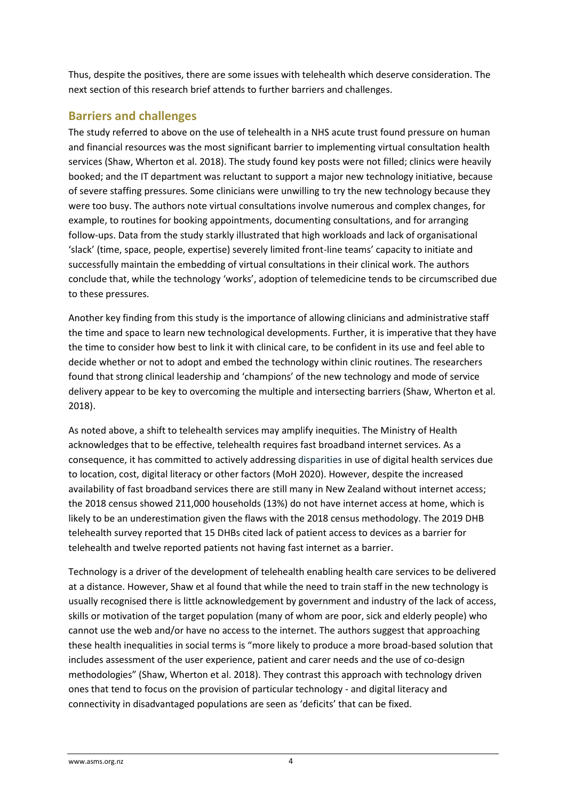Thus, despite the positives, there are some issues with telehealth which deserve consideration. The next section of this research brief attends to further barriers and challenges.

### **Barriers and challenges**

The study referred to above on the use of telehealth in a NHS acute trust found pressure on human and financial resources was the most significant barrier to implementing virtual consultation health services (Shaw, Wherton et al. 2018). The study found key posts were not filled; clinics were heavily booked; and the IT department was reluctant to support a major new technology initiative, because of severe staffing pressures. Some clinicians were unwilling to try the new technology because they were too busy. The authors note virtual consultations involve numerous and complex changes, for example, to routines for booking appointments, documenting consultations, and for arranging follow-ups. Data from the study starkly illustrated that high workloads and lack of organisational 'slack' (time, space, people, expertise) severely limited front-line teams' capacity to initiate and successfully maintain the embedding of virtual consultations in their clinical work. The authors conclude that, while the technology 'works', adoption of telemedicine tends to be circumscribed due to these pressures.

Another key finding from this study is the importance of allowing clinicians and administrative staff the time and space to learn new technological developments. Further, it is imperative that they have the time to consider how best to link it with clinical care, to be confident in its use and feel able to decide whether or not to adopt and embed the technology within clinic routines. The researchers found that strong clinical leadership and 'champions' of the new technology and mode of service delivery appear to be key to overcoming the multiple and intersecting barriers (Shaw, Wherton et al. 2018).

As noted above, a shift to telehealth services may amplify inequities. The Ministry of Health acknowledges that to be effective, telehealth requires fast broadband internet services. As a consequence, it has committed to actively addressing disparities in use of digital health services due to location, cost, digital literacy or other factors (MoH 2020). However, despite the increased availability of fast broadband services there are still many in New Zealand without internet access; the 2018 census showed 211,000 households (13%) do not have internet access at home, which is likely to be an underestimation given the flaws with the 2018 census methodology. The 2019 DHB telehealth survey reported that 15 DHBs cited lack of patient access to devices as a barrier for telehealth and twelve reported patients not having fast internet as a barrier.

Technology is a driver of the development of telehealth enabling health care services to be delivered at a distance. However, Shaw et al found that while the need to train staff in the new technology is usually recognised there is little acknowledgement by government and industry of the lack of access, skills or motivation of the target population (many of whom are poor, sick and elderly people) who cannot use the web and/or have no access to the internet. The authors suggest that approaching these health inequalities in social terms is "more likely to produce a more broad-based solution that includes assessment of the user experience, patient and carer needs and the use of co-design methodologies" (Shaw, Wherton et al. 2018). They contrast this approach with technology driven ones that tend to focus on the provision of particular technology - and digital literacy and connectivity in disadvantaged populations are seen as 'deficits' that can be fixed.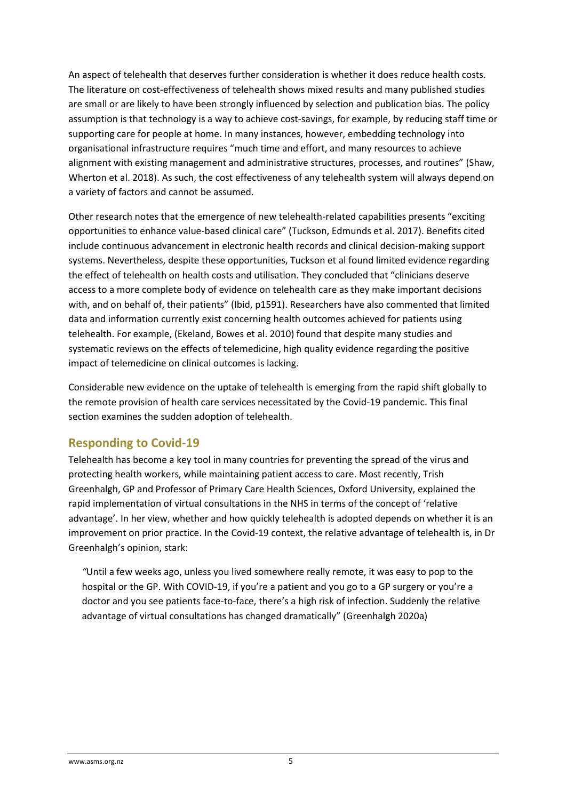An aspect of telehealth that deserves further consideration is whether it does reduce health costs. The literature on cost-effectiveness of telehealth shows mixed results and many published studies are small or are likely to have been strongly influenced by selection and publication bias. The policy assumption is that technology is a way to achieve cost-savings, for example, by reducing staff time or supporting care for people at home. In many instances, however, embedding technology into organisational infrastructure requires "much time and effort, and many resources to achieve alignment with existing management and administrative structures, processes, and routines" (Shaw, Wherton et al. 2018). As such, the cost effectiveness of any telehealth system will always depend on a variety of factors and cannot be assumed.

Other research notes that the emergence of new telehealth-related capabilities presents "exciting opportunities to enhance value-based clinical care" (Tuckson, Edmunds et al. 2017). Benefits cited include continuous advancement in electronic health records and clinical decision-making support systems. Nevertheless, despite these opportunities, Tuckson et al found limited evidence regarding the effect of telehealth on health costs and utilisation. They concluded that "clinicians deserve access to a more complete body of evidence on telehealth care as they make important decisions with, and on behalf of, their patients" (Ibid, p1591). Researchers have also commented that limited data and information currently exist concerning health outcomes achieved for patients using telehealth. For example, (Ekeland, Bowes et al. 2010) found that despite many studies and systematic reviews on the effects of telemedicine, high quality evidence regarding the positive impact of telemedicine on clinical outcomes is lacking.

Considerable new evidence on the uptake of telehealth is emerging from the rapid shift globally to the remote provision of health care services necessitated by the Covid-19 pandemic. This final section examines the sudden adoption of telehealth.

#### **Responding to Covid-19**

Telehealth has become a key tool in many countries for preventing the spread of the virus and protecting health workers, while maintaining patient access to care. Most recently, Trish Greenhalgh, GP and Professor of Primary Care Health Sciences, Oxford University, explained the rapid implementation of virtual consultations in the NHS in terms of the concept of 'relative advantage'. In her view, whether and how quickly telehealth is adopted depends on whether it is an improvement on prior practice. In the Covid-19 context, the relative advantage of telehealth is, in Dr Greenhalgh's opinion, stark:

*"*Until a few weeks ago, unless you lived somewhere really remote, it was easy to pop to the hospital or the GP. With COVID-19, if you're a patient and you go to a GP surgery or you're a doctor and you see patients face-to-face, there's a high risk of infection. Suddenly the relative advantage of virtual consultations has changed dramatically" (Greenhalgh 2020a)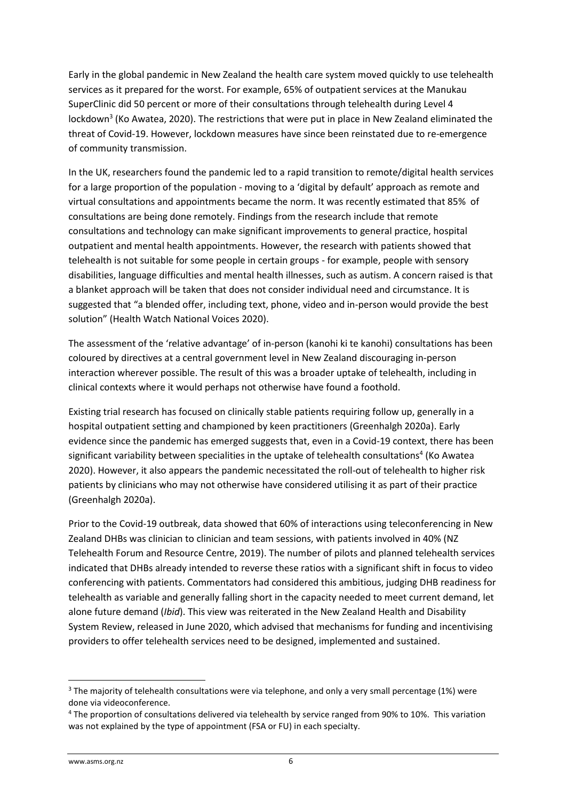Early in the global pandemic in New Zealand the health care system moved quickly to use telehealth services as it prepared for the worst. For example, 65% of outpatient services at the Manukau SuperClinic did 50 percent or more of their consultations through telehealth during Level 4 lockdown<sup>3</sup> (Ko Awatea, 2020). The restrictions that were put in place in New Zealand eliminated the threat of Covid-19. However, lockdown measures have since been reinstated due to re-emergence of community transmission.

In the UK, researchers found the pandemic led to a rapid transition to remote/digital health services for a large proportion of the population - moving to a 'digital by default' approach as remote and virtual consultations and appointments became the norm. It was recently estimated that 85% of consultations are being done remotely. Findings from the research include that remote consultations and technology can make significant improvements to general practice, hospital outpatient and mental health appointments. However, the research with patients showed that telehealth is not suitable for some people in certain groups - for example, people with sensory disabilities, language difficulties and mental health illnesses, such as autism. A concern raised is that a blanket approach will be taken that does not consider individual need and circumstance. It is suggested that "a blended offer, including text, phone, video and in-person would provide the best solution" (Health Watch National Voices 2020).

The assessment of the 'relative advantage' of in-person (kanohi ki te kanohi) consultations has been coloured by directives at a central government level in New Zealand discouraging in-person interaction wherever possible. The result of this was a broader uptake of telehealth, including in clinical contexts where it would perhaps not otherwise have found a foothold.

Existing trial research has focused on clinically stable patients requiring follow up, generally in a hospital outpatient setting and championed by keen practitioners (Greenhalgh 2020a). Early evidence since the pandemic has emerged suggests that, even in a Covid-19 context, there has been significant variability between specialities in the uptake of telehealth consultations<sup>4</sup> (Ko Awatea 2020). However, it also appears the pandemic necessitated the roll-out of telehealth to higher risk patients by clinicians who may not otherwise have considered utilising it as part of their practice (Greenhalgh 2020a).

Prior to the Covid-19 outbreak, data showed that 60% of interactions using teleconferencing in New Zealand DHBs was clinician to clinician and team sessions, with patients involved in 40% (NZ Telehealth Forum and Resource Centre, 2019). The number of pilots and planned telehealth services indicated that DHBs already intended to reverse these ratios with a significant shift in focus to video conferencing with patients. Commentators had considered this ambitious, judging DHB readiness for telehealth as variable and generally falling short in the capacity needed to meet current demand, let alone future demand (*Ibid*). This view was reiterated in the New Zealand Health and Disability System Review, released in June 2020, which advised that mechanisms for funding and incentivising providers to offer telehealth services need to be designed, implemented and sustained.

<sup>&</sup>lt;sup>3</sup> The majority of telehealth consultations were via telephone, and only a very small percentage (1%) were done via videoconference.

<sup>4</sup> The proportion of consultations delivered via telehealth by service ranged from 90% to 10%. This variation was not explained by the type of appointment (FSA or FU) in each specialty.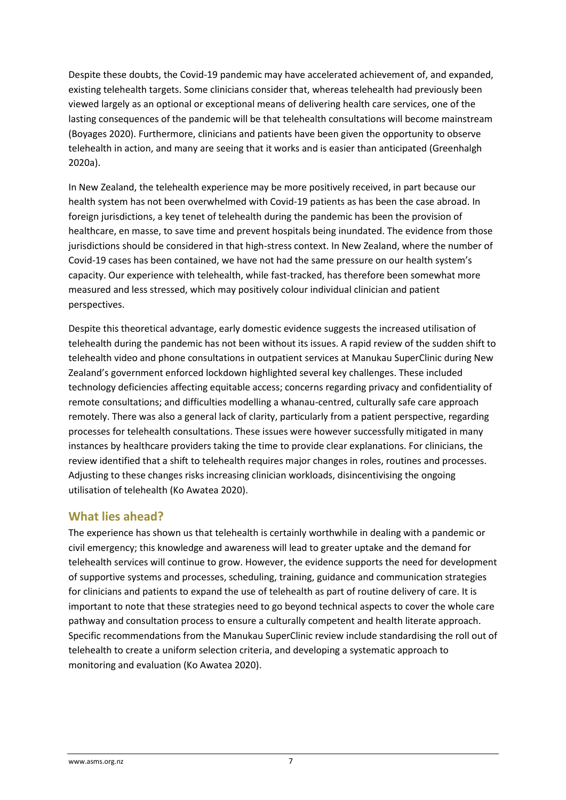Despite these doubts, the Covid-19 pandemic may have accelerated achievement of, and expanded, existing telehealth targets. Some clinicians consider that, whereas telehealth had previously been viewed largely as an optional or exceptional means of delivering health care services, one of the lasting consequences of the pandemic will be that telehealth consultations will become mainstream (Boyages 2020). Furthermore, clinicians and patients have been given the opportunity to observe telehealth in action, and many are seeing that it works and is easier than anticipated (Greenhalgh 2020a).

In New Zealand, the telehealth experience may be more positively received, in part because our health system has not been overwhelmed with Covid-19 patients as has been the case abroad. In foreign jurisdictions, a key tenet of telehealth during the pandemic has been the provision of healthcare, en masse, to save time and prevent hospitals being inundated. The evidence from those jurisdictions should be considered in that high-stress context. In New Zealand, where the number of Covid-19 cases has been contained, we have not had the same pressure on our health system's capacity. Our experience with telehealth, while fast-tracked, has therefore been somewhat more measured and less stressed, which may positively colour individual clinician and patient perspectives.

Despite this theoretical advantage, early domestic evidence suggests the increased utilisation of telehealth during the pandemic has not been without its issues. A rapid review of the sudden shift to telehealth video and phone consultations in outpatient services at Manukau SuperClinic during New Zealand's government enforced lockdown highlighted several key challenges. These included technology deficiencies affecting equitable access; concerns regarding privacy and confidentiality of remote consultations; and difficulties modelling a whanau-centred, culturally safe care approach remotely. There was also a general lack of clarity, particularly from a patient perspective, regarding processes for telehealth consultations. These issues were however successfully mitigated in many instances by healthcare providers taking the time to provide clear explanations. For clinicians, the review identified that a shift to telehealth requires major changes in roles, routines and processes. Adjusting to these changes risks increasing clinician workloads, disincentivising the ongoing utilisation of telehealth (Ko Awatea 2020).

#### **What lies ahead?**

The experience has shown us that telehealth is certainly worthwhile in dealing with a pandemic or civil emergency; this knowledge and awareness will lead to greater uptake and the demand for telehealth services will continue to grow. However, the evidence supports the need for development of supportive systems and processes, scheduling, training, guidance and communication strategies for clinicians and patients to expand the use of telehealth as part of routine delivery of care. It is important to note that these strategies need to go beyond technical aspects to cover the whole care pathway and consultation process to ensure a culturally competent and health literate approach. Specific recommendations from the Manukau SuperClinic review include standardising the roll out of telehealth to create a uniform selection criteria, and developing a systematic approach to monitoring and evaluation (Ko Awatea 2020).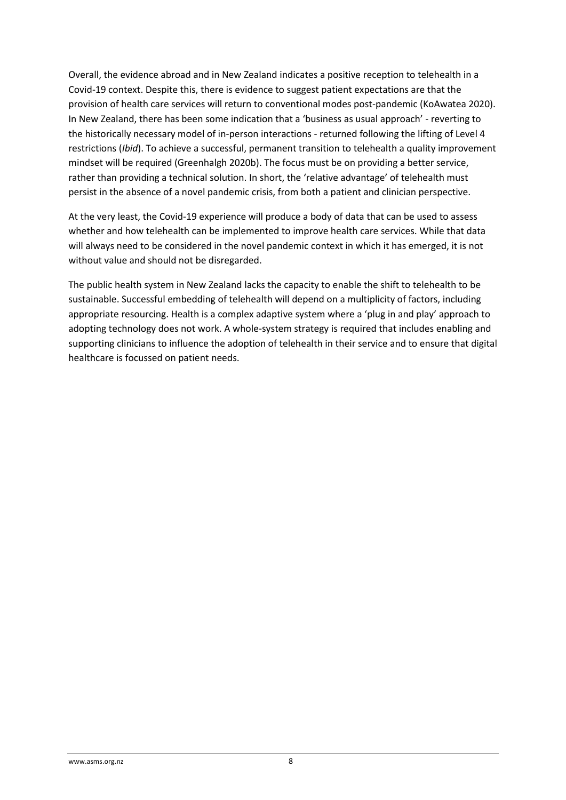Overall, the evidence abroad and in New Zealand indicates a positive reception to telehealth in a Covid-19 context. Despite this, there is evidence to suggest patient expectations are that the provision of health care services will return to conventional modes post-pandemic (KoAwatea 2020). In New Zealand, there has been some indication that a 'business as usual approach' - reverting to the historically necessary model of in-person interactions - returned following the lifting of Level 4 restrictions (*Ibid*). To achieve a successful, permanent transition to telehealth a quality improvement mindset will be required (Greenhalgh 2020b). The focus must be on providing a better service, rather than providing a technical solution. In short, the 'relative advantage' of telehealth must persist in the absence of a novel pandemic crisis, from both a patient and clinician perspective.

At the very least, the Covid-19 experience will produce a body of data that can be used to assess whether and how telehealth can be implemented to improve health care services. While that data will always need to be considered in the novel pandemic context in which it has emerged, it is not without value and should not be disregarded.

The public health system in New Zealand lacks the capacity to enable the shift to telehealth to be sustainable. Successful embedding of telehealth will depend on a multiplicity of factors, including appropriate resourcing. Health is a complex adaptive system where a 'plug in and play' approach to adopting technology does not work. A whole-system strategy is required that includes enabling and supporting clinicians to influence the adoption of telehealth in their service and to ensure that digital healthcare is focussed on patient needs.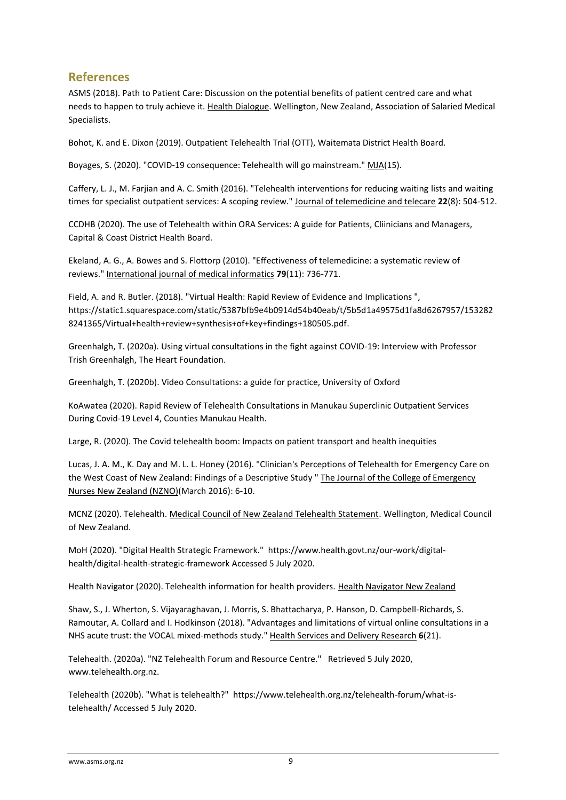#### **References**

ASMS (2018). Path to Patient Care: Discussion on the potential benefits of patient centred care and what needs to happen to truly achieve it. Health Dialogue. Wellington, New Zealand, Association of Salaried Medical Specialists.

Bohot, K. and E. Dixon (2019). Outpatient Telehealth Trial (OTT), Waitemata District Health Board.

Boyages, S. (2020). "COVID-19 consequence: Telehealth will go mainstream." MJA(15).

Caffery, L. J., M. Farjian and A. C. Smith (2016). "Telehealth interventions for reducing waiting lists and waiting times for specialist outpatient services: A scoping review." Journal of telemedicine and telecare **22**(8): 504-512.

CCDHB (2020). The use of Telehealth within ORA Services: A guide for Patients, Cliinicians and Managers, Capital & Coast District Health Board.

Ekeland, A. G., A. Bowes and S. Flottorp (2010). "Effectiveness of telemedicine: a systematic review of reviews." International journal of medical informatics **79**(11): 736-771.

Field, A. and R. Butler. (2018). "Virtual Health: Rapid Review of Evidence and Implications ", https://static1.squarespace.com/static/5387bfb9e4b0914d54b40eab/t/5b5d1a49575d1fa8d6267957/153282 8241365/Virtual+health+review+synthesis+of+key+findings+180505.pdf.

Greenhalgh, T. (2020a). Using virtual consultations in the fight against COVID-19: Interview with Professor Trish Greenhalgh, The Heart Foundation.

Greenhalgh, T. (2020b). Video Consultations: a guide for practice, University of Oxford

KoAwatea (2020). Rapid Review of Telehealth Consultations in Manukau Superclinic Outpatient Services During Covid-19 Level 4, Counties Manukau Health.

Large, R. (2020). The Covid telehealth boom: Impacts on patient transport and health inequities

Lucas, J. A. M., K. Day and M. L. L. Honey (2016). "Clinician's Perceptions of Telehealth for Emergency Care on the West Coast of New Zealand: Findings of a Descriptive Study " The Journal of the College of Emergency Nurses New Zealand (NZNO)(March 2016): 6-10.

MCNZ (2020). Telehealth. Medical Council of New Zealand Telehealth Statement. Wellington, Medical Council of New Zealand.

MoH (2020). "Digital Health Strategic Framework." https://www.health.govt.nz/our-work/digitalhealth/digital-health-strategic-framework Accessed 5 July 2020.

Health Navigator (2020). Telehealth information for health providers. Health Navigator New Zealand

Shaw, S., J. Wherton, S. Vijayaraghavan, J. Morris, S. Bhattacharya, P. Hanson, D. Campbell-Richards, S. Ramoutar, A. Collard and I. Hodkinson (2018). "Advantages and limitations of virtual online consultations in a NHS acute trust: the VOCAL mixed-methods study." Health Services and Delivery Research **6**(21).

Telehealth. (2020a). "NZ Telehealth Forum and Resource Centre." Retrieved 5 July 2020, www.telehealth.org.nz.

Telehealth (2020b). "What is telehealth?" https://www.telehealth.org.nz/telehealth-forum/what-istelehealth/ Accessed 5 July 2020.